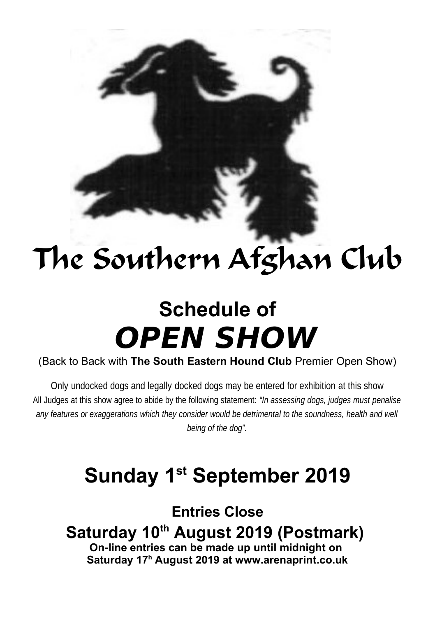# The Southern Afghan Club

# **Schedule of OPEN SHOW**

(Back to Back with **The South Eastern Hound Club** Premier Open Show)

Only undocked dogs and legally docked dogs may be entered for exhibition at this show All Judges at this show agree to abide by the following statement: *"In assessing dogs, judges must penalise* any features or exaggerations which they consider would be detrimental to the soundness, health and well *being of the dog".*

# **Sunday 1st September 2019**

**Entries Close Saturday 10th August 2019 (Postmark) On-line entries can be made up until midnight on Saturday 17<sup>h</sup> August 2019 at www.arenaprint.co.uk**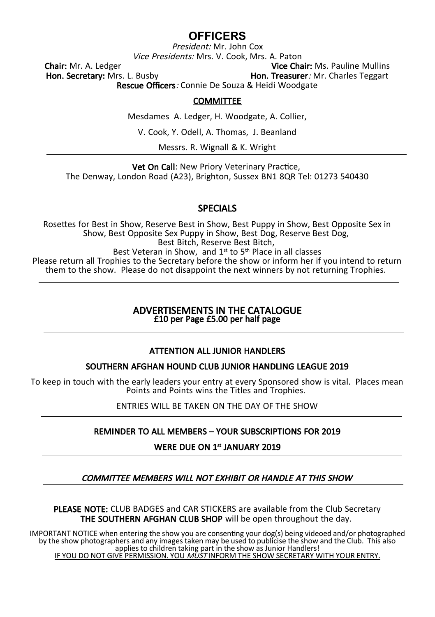# **OFFICERS**

President: Mr. John Cox Vice Presidents: Mrs. V. Cook, Mrs. A. Paton

Chair: Mr. A. Ledger **Vice Chair: Ms. Pauline Mullins**<br> **Hon. Secretary: Mrs. L. Busby Vice Chair: Mr. Charles Teggart** Hon. Treasurer: Mr. Charles Teggart

Rescue Officers: Connie De Souza & Heidi Woodgate

#### **COMMITTEE**

Mesdames A. Ledger, H. Woodgate, A. Collier,

V. Cook, Y. Odell, A. Thomas, J. Beanland

Messrs. R. Wignall & K. Wright

Vet On Call: New Priory Veterinary Practice, The Denway, London Road (A23), Brighton, Sussex BN1 8QR Tel: 01273 540430

#### SPECIALS

Rosettes for Best in Show, Reserve Best in Show, Best Puppy in Show, Best Opposite Sex in Show, Best Opposite Sex Puppy in Show, Best Dog, Reserve Best Dog, Best Bitch, Reserve Best Bitch, Best Veteran in Show, and  $1^{st}$  to  $5^{th}$  Place in all classes Please return all Trophies to the Secretary before the show or inform her if you intend to return them to the show. Please do not disappoint the next winners by not returning Trophies.

#### ADVERTISEMENTS IN THE CATALOGUE £10 per Page £5.00 per half page

### ATTENTION ALL JUNIOR HANDLERS

#### SOUTHERN AFGHAN HOUND CLUB JUNIOR HANDLING LEAGUE 2019

To keep in touch with the early leaders your entry at every Sponsored show is vital. Places mean Points and Points wins the Titles and Trophies.

ENTRIES WILL BE TAKEN ON THE DAY OF THE SHOW

#### REMINDER TO ALL MEMBERS – YOUR SUBSCRIPTIONS FOR 2019

WERE DUE ON 1<sup>st</sup> JANUARY 2019

#### COMMITTEE MEMBERS WILL NOT EXHIBIT OR HANDLE AT THIS SHOW

PLEASE NOTE: CLUB BADGES and CAR STICKERS are available from the Club Secretary THE SOUTHERN AFGHAN CLUB SHOP will be open throughout the day.

IMPORTANT NOTICE when entering the show you are consenting your dog(s) being videoed and/or photographed by the show photographers and any images taken may be used to publicise the show and the Club. This also applies to children taking part in the show as Junior Handlers! IF YOU DO NOT GIVE PERMISSION. YOU MUST INFORM THE SHOW SECRETARY WITH YOUR ENTRY.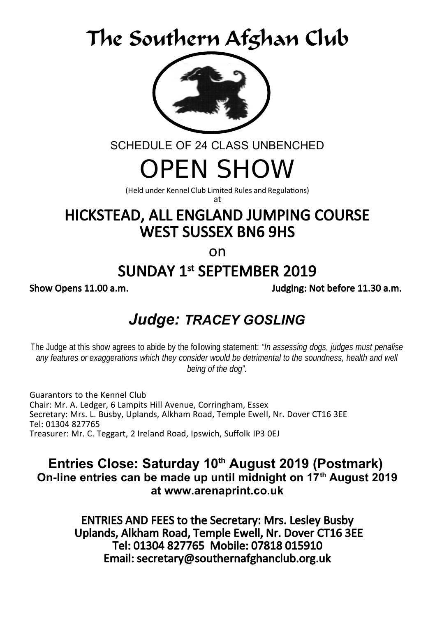# The Southern Afghan Club



SCHEDULE OF 24 CLASS UNBENCHED

# OPEN SHOW

(Held under Kennel Club Limited Rules and Regulations)

at

# HICKSTEAD, ALL ENGLAND JUMPING COURSE WEST SUSSEX BN6 9HS

on

# SUNDAY 1st SEPTEMBER 2019

Show Opens 11.00 a.m. Judging: Not before 11.30 a.m.

# *Judge: TRACEY GOSLING*

The Judge at this show agrees to abide by the following statement: *"In assessing dogs, judges must penalise* any features or exaggerations which they consider would be detrimental to the soundness, health and well *being of the dog".*

Guarantors to the Kennel Club Chair: Mr. A. Ledger, 6 Lampits Hill Avenue, Corringham, Essex Secretary: Mrs. L. Busby, Uplands, Alkham Road, Temple Ewell, Nr. Dover CT16 3EE Tel: 01304 827765 Treasurer: Mr. C. Teggart, 2 Ireland Road, Ipswich, Suffolk IP3 0EJ

**Entries Close: Saturday 10th August 2019 (Postmark) On-line entries can be made up until midnight on 17th August 2019 at www.arenaprint.co.uk**

> ENTRIES AND FEES to the Secretary: Mrs. Lesley Busby Uplands, Alkham Road, Temple Ewell, Nr. Dover CT16 3EE Tel: 01304 827765 Mobile: 07818 015910 Email: secretary@southernafghanclub.org.uk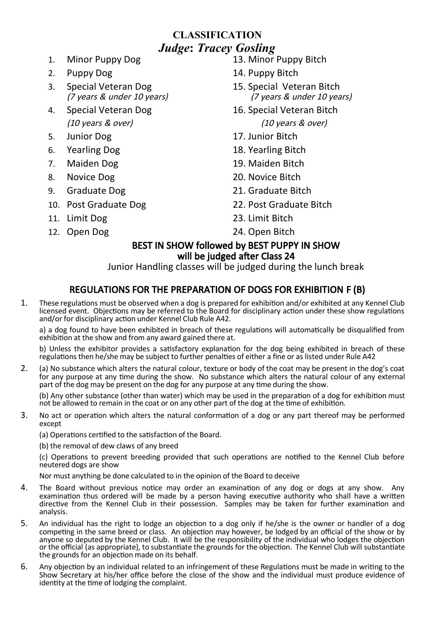# **CLASSIFICATION** *Judge***:** *Tracey Gosling*

- 
- 
- 3. Special Veteran Dog 15. Special Veteran Bitch<br>(7 years & under 10 years) (7 years & under 10 years) (7 years  $&$  under 10 years)
- 
- 
- 
- 
- 
- 9. Graduate Dog 21. Graduate Bitch
- 
- 
- 12. Open Dog 24. Open Bitch
- 1. Minor Puppy Dog 13. Minor Puppy Bitch
- 2. Puppy Dog 14. Puppy Bitch
	-
- 4. Special Veteran Dog 16. Special Veteran Bitch (10 years & over) (10 years & over)
- 5. Junior Dog 17. Junior Bitch
- 6. Yearling Dog 18. Yearling Bitch
- 7. Maiden Dog 19. Maiden Bitch
- 8. Novice Dog 20. Novice Bitch
	-
- 10. Post Graduate Dog 22. Post Graduate Bitch
- 11. Limit Dog 23. Limit Bitch
	-

### BEST IN SHOW followed by BEST PUPPY IN SHOW will be judged after Class 24

Junior Handling classes will be judged during the lunch break

# REGULATIONS FOR THE PREPARATION OF DOGS FOR EXHIBITION F (B)

1. These regulations must be observed when a dog is prepared for exhibition and/or exhibited at any Kennel Club licensed event. Objections may be referred to the Board for disciplinary action under these show regulations and/or for disciplinary action under Kennel Club Rule A42.

a) a dog found to have been exhibited in breach of these regulations will automatically be disqualified from exhibition at the show and from any award gained there at.

b) Unless the exhibitor provides a satisfactory explanation for the dog being exhibited in breach of these regulations then he/she may be subject to further penalties of either a fine or as listed under Rule A42

2. (a) No substance which alters the natural colour, texture or body of the coat may be present in the dog's coat for any purpose at any time during the show. No substance which alters the natural colour of any external part of the dog may be present on the dog for any purpose at any time during the show.

(b) Any other substance (other than water) which may be used in the preparation of a dog for exhibition must not be allowed to remain in the coat or on any other part of the dog at the time of exhibition.

3. No act or operation which alters the natural conformation of a dog or any part thereof may be performed except

(a) Operations certified to the satisfaction of the Board.

(b) the removal of dew claws of any breed

(c) Operations to prevent breeding provided that such operations are notified to the Kennel Club before neutered dogs are show

Nor must anything be done calculated to in the opinion of the Board to deceive

- 4. The Board without previous notice may order an examination of any dog or dogs at any show. Any examination thus ordered will be made by a person having executive authority who shall have a written directive from the Kennel Club in their possession. Samples may be taken for further examination and analysis.
- 5. An individual has the right to lodge an objection to a dog only if he/she is the owner or handler of a dog competing in the same breed or class. An objection may however, be lodged by an official of the show or by anyone so deputed by the Kennel Club. It will be the responsibility of the individual who lodges the objection or the official (as appropriate), to substantiate the grounds for the objection. The Kennel Club will substantiate the grounds for an objection made on its behalf.
- 6. Any objection by an individual related to an infringement of these Regulations must be made in writing to the Show Secretary at his/her office before the close of the show and the individual must produce evidence of identity at the time of lodging the complaint.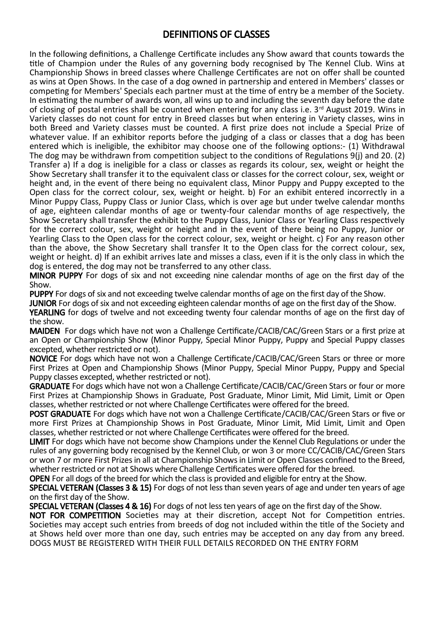# DEFINITIONS OF CLASSES

In the following definitions, a Challenge Certificate includes any Show award that counts towards the title of Champion under the Rules of any governing body recognised by The Kennel Club. Wins at Championship Shows in breed classes where Challenge Certificates are not on offer shall be counted as wins at Open Shows. In the case of a dog owned in partnership and entered in Members' classes or competing for Members' Specials each partner must at the time of entry be a member of the Society. In estimating the number of awards won, all wins up to and including the seventh day before the date of closing of postal entries shall be counted when entering for any class i.e. 3<sup>rd</sup> August 2019. Wins in Variety classes do not count for entry in Breed classes but when entering in Variety classes, wins in both Breed and Variety classes must be counted. A first prize does not include a Special Prize of whatever value. If an exhibitor reports before the judging of a class or classes that a dog has been entered which is ineligible, the exhibitor may choose one of the following options:- (1) Withdrawal The dog may be withdrawn from competition subject to the conditions of Regulations 9(j) and 20. (2) Transfer a) If a dog is ineligible for a class or classes as regards its colour, sex, weight or height the Show Secretary shall transfer it to the equivalent class or classes for the correct colour, sex, weight or height and, in the event of there being no equivalent class, Minor Puppy and Puppy excepted to the Open class for the correct colour, sex, weight or height. b) For an exhibit entered incorrectly in a Minor Puppy Class, Puppy Class or Junior Class, which is over age but under twelve calendar months of age, eighteen calendar months of age or twenty-four calendar months of age respectively, the Show Secretary shall transfer the exhibit to the Puppy Class, Junior Class or Yearling Class respectively for the correct colour, sex, weight or height and in the event of there being no Puppy, Junior or Yearling Class to the Open class for the correct colour, sex, weight or height. c) For any reason other than the above, the Show Secretary shall transfer It to the Open class for the correct colour, sex, weight or height. d) If an exhibit arrives late and misses a class, even if it is the only class in which the dog is entered, the dog may not be transferred to any other class.

MINOR PUPPY For dogs of six and not exceeding nine calendar months of age on the first day of the Show.

PUPPY For dogs of six and not exceeding twelve calendar months of age on the first day of the Show.

JUNIOR For dogs of six and not exceeding eighteen calendar months of age on the first day of the Show.

YEARLING for dogs of twelve and not exceeding twenty four calendar months of age on the first day of the show.

MAIDEN For dogs which have not won a Challenge Certificate/CACIB/CAC/Green Stars or a first prize at an Open or Championship Show (Minor Puppy, Special Minor Puppy, Puppy and Special Puppy classes excepted, whether restricted or not).

NOVICE For dogs which have not won a Challenge Certificate/CACIB/CAC/Green Stars or three or more First Prizes at Open and Championship Shows (Minor Puppy, Special Minor Puppy, Puppy and Special Puppy classes excepted, whether restricted or not).

GRADUATE For dogs which have not won a Challenge Certificate/CACIB/CAC/Green Stars or four or more First Prizes at Championship Shows in Graduate, Post Graduate, Minor Limit, Mid Limit, Limit or Open classes, whether restricted or not where Challenge Certificates were offered for the breed.

POST GRADUATE For dogs which have not won a Challenge Certificate/CACIB/CAC/Green Stars or five or more First Prizes at Championship Shows in Post Graduate, Minor Limit, Mid Limit, Limit and Open classes, whether restricted or not where Challenge Certificates were offered for the breed.

LIMIT For dogs which have not become show Champions under the Kennel Club Regulations or under the rules of any governing body recognised by the Kennel Club, or won 3 or more CC/CACIB/CAC/Green Stars or won 7 or more First Prizes in all at Championship Shows in Limit or Open Classes confined to the Breed, whether restricted or not at Shows where Challenge Certificates were offered for the breed.

OPEN For all dogs of the breed for which the class is provided and eligible for entry at the Show.

SPECIAL VETERAN (Classes 3 & 15) For dogs of not less than seven years of age and under ten years of age on the first day of the Show.

**SPECIAL VETERAN (Classes 4 & 16)** For dogs of not less ten years of age on the first day of the Show.

NOT FOR COMPETITION Societies may at their discretion, accept Not for Competition entries. Societies may accept such entries from breeds of dog not included within the title of the Society and at Shows held over more than one day, such entries may be accepted on any day from any breed. DOGS MUST BE REGISTERED WITH THEIR FULL DETAILS RECORDED ON THE ENTRY FORM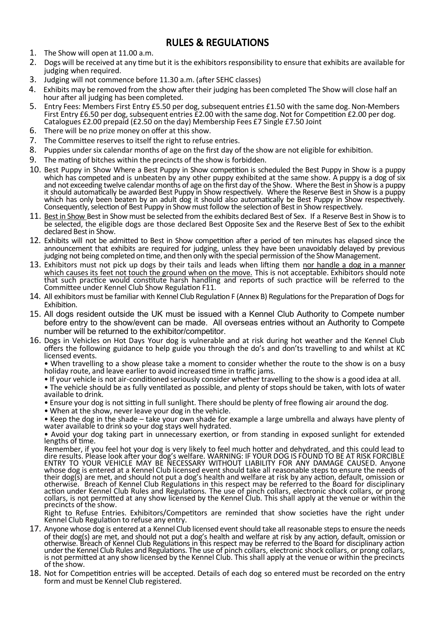# RULES & REGULATIONS

- 1. The Show will open at 11.00 a.m.
- 2. Dogs will be received at any time but it is the exhibitors responsibility to ensure that exhibits are available for judging when required.
- 3. Judging will not commence before 11.30 a.m. (after SEHC classes)
- 4. Exhibits may be removed from the show after their judging has been completed The Show will close half an hour after all judging has been completed.
- 5. Entry Fees: Members First Entry £5.50 per dog, subsequent entries £1.50 with the same dog. Non-Members First Entry £6.50 per dog, subsequent entries £2.00 with the same dog. Not for Competition £2.00 per dog. Catalogues £2.00 prepaid (£2.50 on the day) Membership Fees £7 Single £7.50 Joint
- 6. There will be no prize money on offer at this show.
- 7. The Committee reserves to itself the right to refuse entries.
- 8. Puppies under six calendar months of age on the first day of the show are not eligible for exhibition.
- 9. The mating of bitches within the precincts of the show is forbidden.
- 10. Best Puppy in Show Where a Best Puppy in Show competition is scheduled the Best Puppy in Show is a puppy which has competed and is unbeaten by any other puppy exhibited at the same show. A puppy is a dog of six and not exceeding twelve calendar months of age on the first day of the Show. Where the Best in Show is a puppy it should automatically be awarded Best Puppy in Show respectively. Where the Reserve Best in Show is a puppy which has only been beaten by an adult dog it should also automatically be Best Puppy in Show respectively. Consequently, selection of Best Puppy in Show must follow the selection of Best in Show respectively.
- 11. Best in Show Best in Show must be selected from the exhibits declared Best of Sex. If a Reserve Best in Show is to be selected, the eligible dogs are those declared Best Opposite Sex and the Reserve Best of Sex to the exhibit declared Best in Show.
- 12. Exhibits will not be admitted to Best in Show competition after a period of ten minutes has elapsed since the announcement that exhibits are required for judging, unless they have been unavoidably delayed by previous judging not being completed on time, and then only with the special permission of the Show Management.
- 13. Exhibitors must not pick up dogs by their tails and leads when lifting them nor handle a dog in a manner which causes its feet not touch the ground when on the move. This is not acceptable. Exhibitors should note<br>that such practice would constitute harsh handling and reports of such practice will be referred to the Committee under Kennel Club Show Regulation F11.
- 14. All exhibitors must be familiar with Kennel Club Regulation F (Annex B) Regulations for the Preparation of Dogs for Exhibition.
- 15. All dogs resident outside the UK must be issued with a Kennel Club Authority to Compete number before entry to the show/event can be made. All overseas entries without an Authority to Compete number will be returned to the exhibitor/competitor.
- 16. Dogs in Vehicles on Hot Days Your dog is vulnerable and at risk during hot weather and the Kennel Club offers the following guidance to help guide you through the do's and don'ts travelling to and whilst at KC licensed events.

• When travelling to a show please take a moment to consider whether the route to the show is on a busy holiday route, and leave earlier to avoid increased time in traffic jams.

- If your vehicle is not air-conditioned seriously consider whether travelling to the show is a good idea at all.
- The vehicle should be as fully ventilated as possible, and plenty of stops should be taken, with lots of water available to drink.
- Ensure your dog is not sitting in full sunlight. There should be plenty of free flowing air around the dog.
- When at the show, never leave your dog in the vehicle.
- Keep the dog in the shade take your own shade for example a large umbrella and always have plenty of water available to drink so your dog stays well hydrated.

• Avoid your dog taking part in unnecessary exertion, or from standing in exposed sunlight for extended lengths of time.

Remember, if you feel hot your dog is very likely to feel much hotter and dehydrated, and this could lead to<br>dire results. Please look after your dog's welfare. WARNING: IF YOUR DOG IS FOUND TO BE AT RISK FORCIBLE<br>ENTRY TO their dog(s) are met, and should not put a dog's health and welfare at risk by any action, default, omission or otherwise. Breach of Kennel Club Regulations in this respect may be referred to the Board for disciplinary action under Kennel Club Rules and Regulations. The use of pinch collars, electronic shock collars, or prong collars, is not permitted at any show licensed by the Kennel Club. This shall apply at the venue or within the precincts of the show.

Right to Refuse Entries. Exhibitors/Competitors are reminded that show societies have the right under Kennel Club Regulation to refuse any entry.

- 17. Anyone whose dog is entered at a Kennel Club licensed event should take all reasonable steps to ensure the needs of their dog(s) are met, and should not put a dog's health and welfare at risk by any action, default, omission or<br>otherwise. Breach of Kennel Club Regulations in this respect may be referred to the Board for disciplinary under the Kennel Club Rules and Regulations. The use of pinch collars, electronic shock collars, or prong´collars,<br>is not permitted at any show licensed by the Kennel Club. This shall apply at the venue or within the preci of the show.
- 18. Not for Competition entries will be accepted. Details of each dog so entered must be recorded on the entry form and must be Kennel Club registered.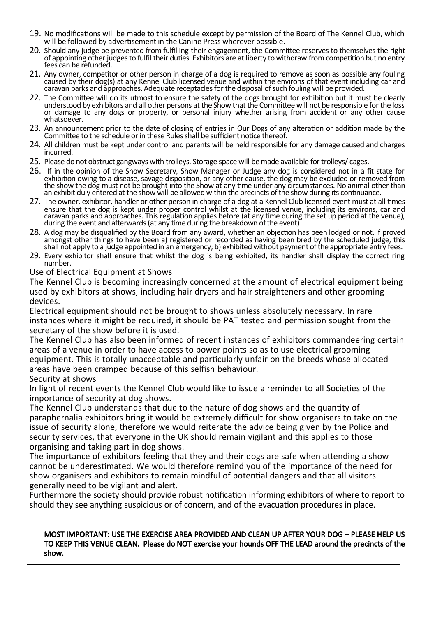- 19. No modifications will be made to this schedule except by permission of the Board of The Kennel Club, which will be followed by advertisement in the Canine Press wherever possible.
- 20. Should any judge be prevented from fulfilling their engagement, the Committee reserves to themselves the right of appointing other judges to fulfil their duties. Exhibitors are at liberty to withdraw from competition but no entry fees can be refunded.
- 21. Any owner, competitor or other person in charge of a dog is required to remove as soon as possible any fouling caused by their dog(s) at any Kennel Club licensed venue and within the environs of that event including car and caravan parks and approaches. Adequate receptacles for the disposal of such fouling will be provided.
- 22. The Committee will do its utmost to ensure the safety of the dogs brought for exhibition but it must be clearly understood by exhibitors and all other persons at the Show that the Committee will not be responsible for the loss or damage to any dogs or property, or personal injury whether arising from accident or any other cause whatsoever.
- 23. An announcement prior to the date of closing of entries in Our Dogs of any alteration or addition made by the Committee to the schedule or in these Rules shall be sufficient notice thereof.
- 24. All children must be kept under control and parents will be held responsible for any damage caused and charges incurred.
- 25. Please do not obstruct gangways with trolleys. Storage space will be made available for trolleys/ cages.
- 26. If in the opinion of the Show Secretary, Show Manager or Judge any dog is considered not in a fit state for exhibition owing to a disease, savage disposition, or any other cause, the dog may be excluded or removed from the show the dog must not be brought into the Show at any time under any circumstances. No animal other than an exhibit duly entered at the show will be allowed within the precincts of the show during its continuance.
- 27. The owner, exhibitor, handler or other person in charge of a dog at a Kennel Club licensed event must at all times ensure that the dog is kept under proper control whilst at the licensed venue, including its environs, car and caravan parks and approaches. This regulation applies before (at any time during the set up period at the venue), during the event and afterwards (at any time during the breakdown of the event)
- 28. A dog may be disqualified by the Board from any award, whether an objection has been lodged or not, if proved amongst other things to have been a) registered or recorded as having been bred by the scheduled judge, this shall not apply to a judge appointed in an emergency; b) exhibited without payment of the appropriate entry fees.
- 29. Every exhibitor shall ensure that whilst the dog is being exhibited, its handler shall display the correct ring number.

#### Use of Electrical Equipment at Shows

The Kennel Club is becoming increasingly concerned at the amount of electrical equipment being used by exhibitors at shows, including hair dryers and hair straighteners and other grooming devices.

Electrical equipment should not be brought to shows unless absolutely necessary. In rare instances where it might be required, it should be PAT tested and permission sought from the secretary of the show before it is used.

The Kennel Club has also been informed of recent instances of exhibitors commandeering certain areas of a venue in order to have access to power points so as to use electrical grooming equipment. This is totally unacceptable and particularly unfair on the breeds whose allocated areas have been cramped because of this selfish behaviour.

#### Security at shows

In light of recent events the Kennel Club would like to issue a reminder to all Societies of the importance of security at dog shows.

The Kennel Club understands that due to the nature of dog shows and the quantity of paraphernalia exhibitors bring it would be extremely difficult for show organisers to take on the issue of security alone, therefore we would reiterate the advice being given by the Police and security services, that everyone in the UK should remain vigilant and this applies to those organising and taking part in dog shows.

The importance of exhibitors feeling that they and their dogs are safe when attending a show cannot be underestimated. We would therefore remind you of the importance of the need for show organisers and exhibitors to remain mindful of potential dangers and that all visitors generally need to be vigilant and alert.

Furthermore the society should provide robust notification informing exhibitors of where to report to should they see anything suspicious or of concern, and of the evacuation procedures in place.

#### MOST IMPORTANT: USE THE EXERCISE AREA PROVIDED AND CLEAN UP AFTER YOUR DOG – PLEASE HELP US TO KEEP THIS VENUE CLEAN. Please do NOT exercise your hounds OFF THE LEAD around the precincts of the show.